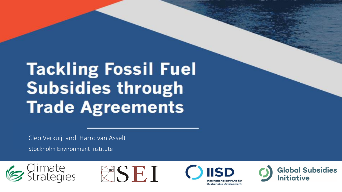## **Tackling Fossil Fuel Subsidies through Trade Agreements**

Cleo Verkuijl and Harro van Asselt

Stockholm Environment Institute







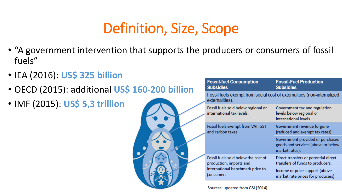### Definition, Size, Scope

- "A government intervention that supports the producers or consumers of fossil fuels"
- IEA (2016): **US\$ 325 billion**
- OECD (2015): additional **US\$ 160-200 billion**
- IMF (2015): **US\$ 5,3 trillion**



| <b>Fossil-fuel Consumption</b><br><b>Subsidies</b>               | <b>Fossil-Fuel Production</b><br><b>Subsidies</b>                                        |  |  |
|------------------------------------------------------------------|------------------------------------------------------------------------------------------|--|--|
| externalities).                                                  | Fossil fuels exempt from social cost of externalities (non-internalized                  |  |  |
| Fossil fuels sold below regional or<br>international tax levels. | Government tax and regulation<br>levels below regional or<br>international levels.       |  |  |
| Fossil fuels exempt from VAT, GST<br>and carbon taxes            | Government revenue forgone<br>(reduced and exempt tax rates).                            |  |  |
|                                                                  | Government provided or purchased<br>goods and services (above or below<br>market rates). |  |  |
| Fossil fuels sold below the cost of<br>production, imports and   | Direct transfers or potential direct<br>transfers of funds to producers.                 |  |  |
| international benchmark price to<br>consumers                    | Income or price support (above<br>market rate prices for producers).                     |  |  |

Sources: updated from GSI (2014)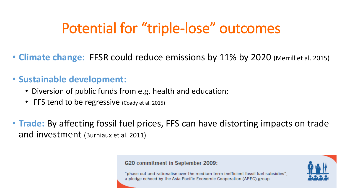### Potential for "triple-lose" outcomes

• **Climate change:** FFSR could reduce emissions by 11% by 2020 (Merrill et al. 2015)

#### • **Sustainable development:**

- Diversion of public funds from e.g. health and education;
- FFS tend to be regressive (Coady et al. 2015)
- **Trade:** By affecting fossil fuel prices, FFS can have distorting impacts on trade and investment (Burniaux et al. 2011)

#### G20 commitment in September 2009:

"phase out and rationalise over the medium term inefficient fossil fuel subsidies", a pledge echoed by the Asia Pacific Economic Cooperation (APEC) group.

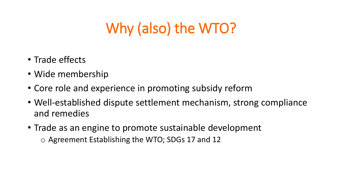### Why (also) the WTO?

- Trade effects
- Wide membership
- Core role and experience in promoting subsidy reform
- Well-established dispute settlement mechanism, strong compliance and remedies
- Trade as an engine to promote sustainable development o Agreement Establishing the WTO; SDGs 17 and 12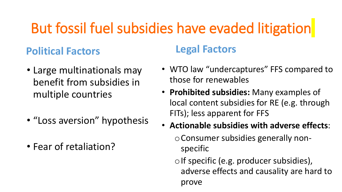### But fossil fuel subsidies have evaded litigation

### **Political Factors**

- Large multinationals may benefit from subsidies in multiple countries
- "Loss aversion" hypothesis
- Fear of retaliation?

#### **Legal Factors**

- WTO law "undercaptures" FFS compared to those for renewables
- **Prohibited subsidies:** Many examples of local content subsidies for RE (e.g. through FITs); less apparent for FFS
- **Actionable subsidies with adverse effects**: oConsumer subsidies generally nonspecific
	- $\circ$  If specific (e.g. producer subsidies), adverse effects and causality are hard to prove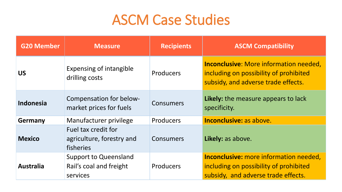### ASCM Case Studies

| <b>G20 Member</b> | <b>Measure</b>                                                      | <b>Recipients</b> | <b>ASCM Compatibility</b>                                                                                                      |
|-------------------|---------------------------------------------------------------------|-------------------|--------------------------------------------------------------------------------------------------------------------------------|
| <b>US</b>         | <b>Expensing of intangible</b><br>drilling costs                    | Producers         | <b>Inconclusive:</b> More information needed,<br>including on possibility of prohibited<br>subsidy, and adverse trade effects. |
| <b>Indonesia</b>  | Compensation for below-<br>market prices for fuels                  | Consumers         | Likely: the measure appears to lack<br>specificity.                                                                            |
| <b>Germany</b>    | Manufacturer privilege                                              | <b>Producers</b>  | <b>Inconclusive: as above.</b>                                                                                                 |
| <b>Mexico</b>     | Fuel tax credit for<br>agriculture, forestry and<br>fisheries       | Consumers         | Likely: as above.                                                                                                              |
| <b>Australia</b>  | <b>Support to Queensland</b><br>Rail's coal and freight<br>services | Producers         | <b>Inconclusive:</b> more information needed,<br>including on possibility of prohibited<br>subsidy, and adverse trade effects. |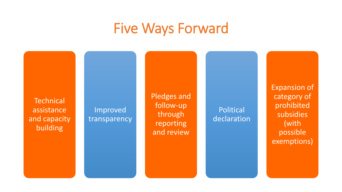### Five Ways Forward

**Technical** assistance and capacity building Improved transparency Pledges and follow-up through reporting and review Political declaration Expansion of category of prohibited subsidies (with possible exemptions)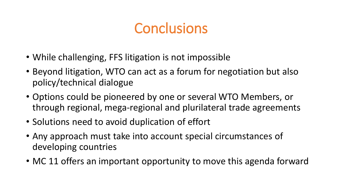### **Conclusions**

- While challenging, FFS litigation is not impossible
- Beyond litigation, WTO can act as a forum for negotiation but also policy/technical dialogue
- Options could be pioneered by one or several WTO Members, or through regional, mega-regional and plurilateral trade agreements
- Solutions need to avoid duplication of effort
- Any approach must take into account special circumstances of developing countries
- MC 11 offers an important opportunity to move this agenda forward